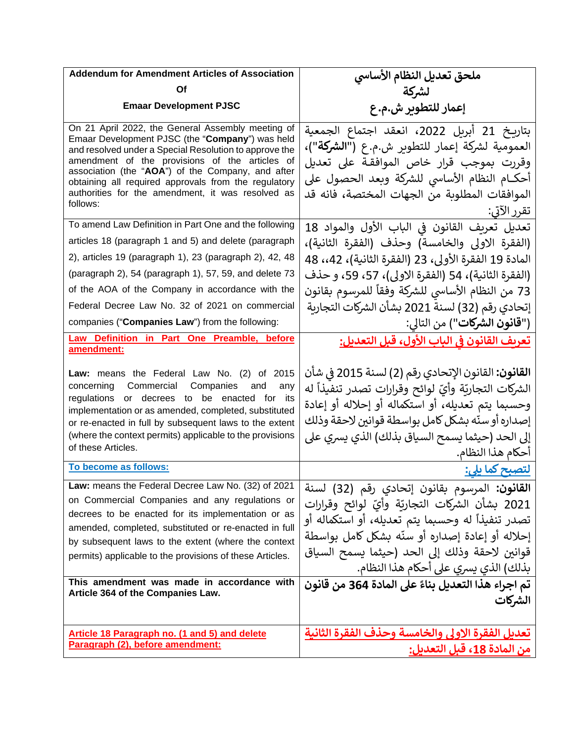| <b>Addendum for Amendment Articles of Association</b>                                                                                                                                                                                                                                                                                                                                          | ملحق تعديل النظام الأساسي                                                                                                                                                                                                                                                                                                                                                                                              |
|------------------------------------------------------------------------------------------------------------------------------------------------------------------------------------------------------------------------------------------------------------------------------------------------------------------------------------------------------------------------------------------------|------------------------------------------------------------------------------------------------------------------------------------------------------------------------------------------------------------------------------------------------------------------------------------------------------------------------------------------------------------------------------------------------------------------------|
| Οf                                                                                                                                                                                                                                                                                                                                                                                             | لشركة                                                                                                                                                                                                                                                                                                                                                                                                                  |
| <b>Emaar Development PJSC</b>                                                                                                                                                                                                                                                                                                                                                                  | إعمار للتطوير ش.م.ع                                                                                                                                                                                                                                                                                                                                                                                                    |
| On 21 April 2022, the General Assembly meeting of<br>Emaar Development PJSC (the "Company") was held<br>and resolved under a Special Resolution to approve the<br>amendment of the provisions of the articles of<br>association (the "AOA") of the Company, and after<br>obtaining all required approvals from the regulatory<br>authorities for the amendment, it was resolved as<br>follows: | بتاريخ 21 أبريل 2022، انعقد اجتماع الجمعية<br>العمومية لشركة إعمار للتطوير ش.م. ع (" <b>الشركة</b> ")،<br>وقررت بموجب قرار خاص الموافقة على تعديل<br>أحكــام النظام الأساسي للشركة وبعد الحصول على<br>الموافقات المطلوبة من الجهات المختصة، فانه قد<br>ُ تقرر الآتي:                                                                                                                                                   |
| To amend Law Definition in Part One and the following                                                                                                                                                                                                                                                                                                                                          | تعديل تعريف القانون في الباب الأول والمواد 18                                                                                                                                                                                                                                                                                                                                                                          |
| articles 18 (paragraph 1 and 5) and delete (paragraph                                                                                                                                                                                                                                                                                                                                          | (الفقرة الاولى والخامسة) وحذف (الفقرة الثانية)،                                                                                                                                                                                                                                                                                                                                                                        |
| 2), articles 19 (paragraph 1), 23 (paragraph 2), 42, 48                                                                                                                                                                                                                                                                                                                                        | المادة 19 الفقرة الأولى، 23 (الفقرة الثانية)، 42،، 48                                                                                                                                                                                                                                                                                                                                                                  |
| (paragraph 2), 54 (paragraph 1), 57, 59, and delete 73                                                                                                                                                                                                                                                                                                                                         | (الفقرة الثانية)، 54 (الفقرة الاولى)، 57، 59، و حذف                                                                                                                                                                                                                                                                                                                                                                    |
| of the AOA of the Company in accordance with the                                                                                                                                                                                                                                                                                                                                               | 73 من النظام الأساسي للشركة وفقاً للمرسوم بقانون                                                                                                                                                                                                                                                                                                                                                                       |
| Federal Decree Law No. 32 of 2021 on commercial                                                                                                                                                                                                                                                                                                                                                | إتحادي رقم (32) لسنة 2021 بشأن الشركات التجارية                                                                                                                                                                                                                                                                                                                                                                        |
| companies ("Companies Law") from the following:                                                                                                                                                                                                                                                                                                                                                | (" <b>قانون الشركات</b> ") من التالي:                                                                                                                                                                                                                                                                                                                                                                                  |
| Law Definition in Part One Preamble,<br>before<br>amendment:                                                                                                                                                                                                                                                                                                                                   | <u>تعريف القانون في الباب الأول، قبل التعديل:</u>                                                                                                                                                                                                                                                                                                                                                                      |
| Law: means the Federal Law No. (2) of 2015<br>Commercial Companies<br>concerning<br>and<br>any<br>regulations or decrees to be enacted for its<br>implementation or as amended, completed, substituted<br>or re-enacted in full by subsequent laws to the extent<br>(where the context permits) applicable to the provisions<br>of these Articles.                                             | <b>القانون:</b> القانون الإتحادي رقم (2) لسنة 2015 في شأن<br>الشركات التجاريّة وأيّ لوائح وقرارات تصدر تنفيذاً له<br>وحسبما يتم تعديله، أو استكماله أو إحلاله أو إعادة<br>إصداره أو سنّه بشكل كامل بواسطة قوانين لاحقة وذلك<br>إلى الحد (حيثما يسمح السياق بذلك) الذي يسري على<br>أحكام هذا النظام.                                                                                                                    |
| To become as follows:                                                                                                                                                                                                                                                                                                                                                                          | <u>لتصبح کما یلی:</u>                                                                                                                                                                                                                                                                                                                                                                                                  |
| on Commercial Companies and any regulations or<br>decrees to be enacted for its implementation or as<br>amended, completed, substituted or re-enacted in full<br>by subsequent laws to the extent (where the context<br>permits) applicable to the provisions of these Articles.<br>This amendment was made in accordance with<br>Article 364 of the Companies Law.                            | القانون: المرسوم بقانون إتحادي رقم (32) لسنة   2021 Law: means the Federal Decree Law No. (32) of<br>2021 بشأن الشركات التجاريّة وأيّ لوائح وقرارات<br>تصدر تنفيذاً له وحسبما يتم تعديله، أو استكماله أو<br>إحلاله أو إعادة إصداره أو سنّه بشكل كامل بواسطة<br>قوانين لاحقة وذلك إلى الحد (حيثما يسمح السياق<br>بذلك) الذي يسري على أحكام هذا النظام.<br>تم اجراء هذا التعديل بناءً على المادة 364 من قانون<br>الشركات |
|                                                                                                                                                                                                                                                                                                                                                                                                |                                                                                                                                                                                                                                                                                                                                                                                                                        |
| Article 18 Paragraph no. (1 and 5) and delete<br>Paragraph (2), before amendment:                                                                                                                                                                                                                                                                                                              | تعديل الفقرة الاولى والخامسة وحذف الفقرة الثانية                                                                                                                                                                                                                                                                                                                                                                       |
|                                                                                                                                                                                                                                                                                                                                                                                                | <u>من المادة 18، قبل</u> التعديل:                                                                                                                                                                                                                                                                                                                                                                                      |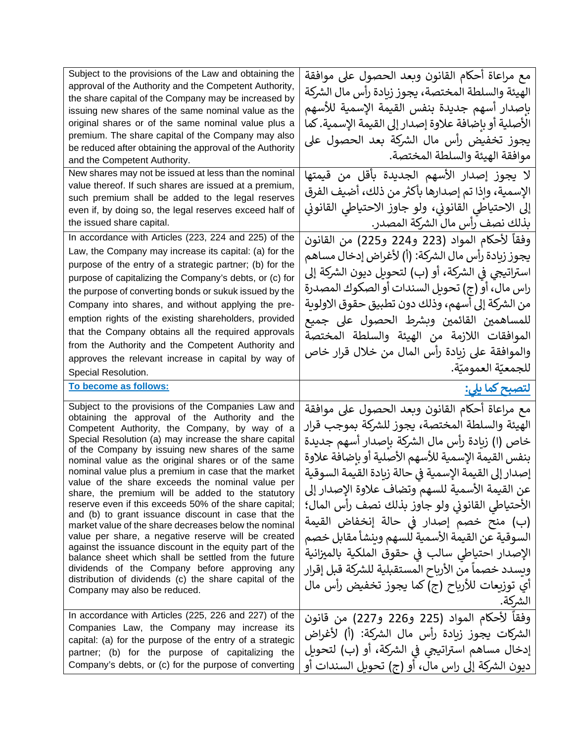| Subject to the provisions of the Law and obtaining the<br>approval of the Authority and the Competent Authority,<br>the share capital of the Company may be increased by<br>issuing new shares of the same nominal value as the<br>original shares or of the same nominal value plus a<br>premium. The share capital of the Company may also<br>be reduced after obtaining the approval of the Authority<br>and the Competent Authority.<br>New shares may not be issued at less than the nominal<br>value thereof. If such shares are issued at a premium,<br>such premium shall be added to the legal reserves<br>even if, by doing so, the legal reserves exceed half of<br>the issued share capital.<br>In accordance with Articles (223, 224 and 225) of the<br>Law, the Company may increase its capital: (a) for the<br>purpose of the entry of a strategic partner; (b) for the<br>purpose of capitalizing the Company's debts, or (c) for<br>the purpose of converting bonds or sukuk issued by the<br>Company into shares, and without applying the pre-<br>emption rights of the existing shareholders, provided<br>that the Company obtains all the required approvals<br>from the Authority and the Competent Authority and<br>approves the relevant increase in capital by way of | مع مراعاة أحكام القانون وبعد الحصول على موافقة<br>الهيئة والسلطة المختصة، يجوز زيادة رأس مال الشركة<br>بإصدار أسهم جديدة بنفس القيمة الإسمية للأسهم<br>الأصلية أو بإضافة علاوة إصدار إلى القيمة الإسمية. كما<br>يجوز تخفيض رأس مال الشركة بعد الحصول على<br>موافقة الهيئة والسلطة المختصة.<br>لا يجوز إصدار الأسهم الجديدة بأقل من قيمتها<br>الإسمية، وإذا تم إصدارها بأكثر من ذلك، أضيف الفرق<br>إلى الاحتياطي القانوني، ولو جاوز الاحتياطي القانوني<br>بذلك نصف رأس مال الشركة المصدر.<br>وفقاً لأحكام المواد (223 و224 و225) من القانون<br>يجوز زيادة رأس مال الشركة: (أ) لأغراض إدخال مساهم<br>استراتيجي في الشركة، أو (ب) لتحويل ديون الشركة إلى<br>راس مال، أو (ج) تحويل السندات أو الصكوك المصدرة<br>من الشركة إلى أسهم، وذلك دون تطبيق حقوق الاولوية<br>للمساهمين القائمين وبشرط الحصول على جميع<br>الموافقات اللازمة من الهيئة والسلطة المختصة<br>والموافقة على زيادة رأس المال من خلال قرار خاص |
|-------------------------------------------------------------------------------------------------------------------------------------------------------------------------------------------------------------------------------------------------------------------------------------------------------------------------------------------------------------------------------------------------------------------------------------------------------------------------------------------------------------------------------------------------------------------------------------------------------------------------------------------------------------------------------------------------------------------------------------------------------------------------------------------------------------------------------------------------------------------------------------------------------------------------------------------------------------------------------------------------------------------------------------------------------------------------------------------------------------------------------------------------------------------------------------------------------------------------------------------------------------------------------------------------|-----------------------------------------------------------------------------------------------------------------------------------------------------------------------------------------------------------------------------------------------------------------------------------------------------------------------------------------------------------------------------------------------------------------------------------------------------------------------------------------------------------------------------------------------------------------------------------------------------------------------------------------------------------------------------------------------------------------------------------------------------------------------------------------------------------------------------------------------------------------------------------------------------------|
| Special Resolution.<br>To become as follows:                                                                                                                                                                                                                                                                                                                                                                                                                                                                                                                                                                                                                                                                                                                                                                                                                                                                                                                                                                                                                                                                                                                                                                                                                                                    | للجمعيّة العموميّة.<br><u>لتصبح کما یلی:</u>                                                                                                                                                                                                                                                                                                                                                                                                                                                                                                                                                                                                                                                                                                                                                                                                                                                              |
| Subject to the provisions of the Companies Law and<br>obtaining the approval of the Authority and the<br>Competent Authority, the Company, by way of a                                                                                                                                                                                                                                                                                                                                                                                                                                                                                                                                                                                                                                                                                                                                                                                                                                                                                                                                                                                                                                                                                                                                          | مع مراعاة أحكام القانون وبعد الحصول على موافقة<br>الهيئة والسلطة المختصة، يجوز للشركة بموجب قرار                                                                                                                                                                                                                                                                                                                                                                                                                                                                                                                                                                                                                                                                                                                                                                                                          |
| Special Resolution (a) may increase the share capital<br>of the Company by issuing new shares of the same<br>nominal value as the original shares or of the same<br>nominal value plus a premium in case that the market<br>value of the share exceeds the nominal value per<br>share, the premium will be added to the statutory<br>reserve even if this exceeds 50% of the share capital;<br>and (b) to grant issuance discount in case that the<br>market value of the share decreases below the nominal<br>value per share, a negative reserve will be created<br>against the issuance discount in the equity part of the<br>balance sheet which shall be settled from the future<br>dividends of the Company before approving any<br>distribution of dividends (c) the share capital of the<br>Company may also be reduced.                                                                                                                                                                                                                                                                                                                                                                                                                                                                | خاص (ا) زيادة رأس مال الشركة بإصدار أسهم جديدة<br>بنفس القيمة الإسمية للأسهم الأصلية أو بإضافة علاوة<br>إصدار إلى القيمة الإسمية في حالة زيادة القيمة السوقية<br>عن القيمة الأسمية للسهم وتضاف علاوة الإصدار إلى<br>الأحتياطي القانوني ولو جاوز بذلك نصف رأس المال؛<br>(ب) منح خصم إصدار في حالة إنخفاض القيمة<br>السوقية عن القيمة الأسمية للسهم وينشأ مقابل خصم<br>الإصدار احتياطي سالب في حقوق الملكية بالميزانية<br>ويسدد خصماً من الأرباح المستقبلية للشركة قبل إقرار<br>أي توزيعات للأرباح (ج) كما يجوز تخفيض رأس مال<br>الشركة.                                                                                                                                                                                                                                                                                                                                                                    |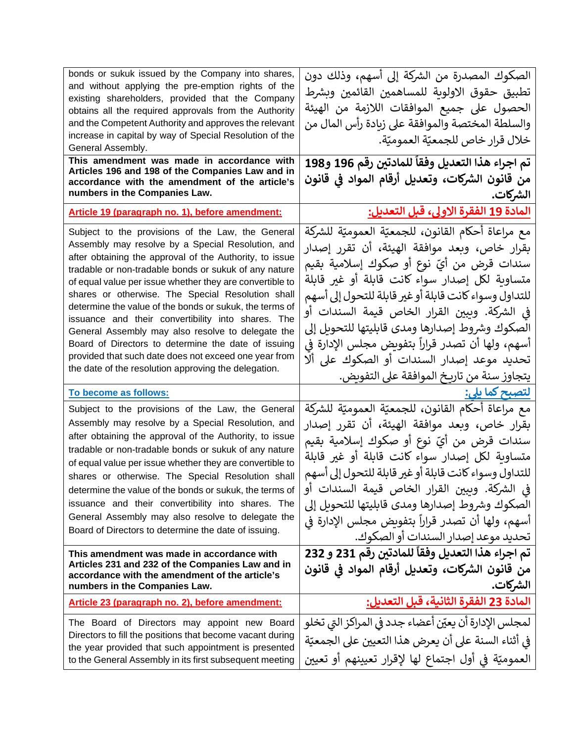| bonds or sukuk issued by the Company into shares,<br>and without applying the pre-emption rights of the<br>existing shareholders, provided that the Company<br>obtains all the required approvals from the Authority<br>and the Competent Authority and approves the relevant<br>increase in capital by way of Special Resolution of the<br>General Assembly.<br>This amendment was made in accordance with<br>Articles 196 and 198 of the Companies Law and in<br>accordance with the amendment of the article's<br>numbers in the Companies Law.                                                                                                                                        | الصكوك المصدرة من الشركة إلى أسهم، وذلك دون<br>تطبيق حقوق الاولوية للمساهمين القائمين وبشرط<br>الحصول على جميع الموافقات اللازمة من الهيئة<br>والسلطة المختصة والموافقة على زيادة رأس المال من<br>خلال قرار خاص للجمعيّة العموميّة.<br>تم اجراء هذا التعديل وفقاً للمادتين رقم 196 و198<br>من قانون الشركات، وتعديل أرقام المواد في قانون<br>الشركات.                                                                                                                                                         |
|-------------------------------------------------------------------------------------------------------------------------------------------------------------------------------------------------------------------------------------------------------------------------------------------------------------------------------------------------------------------------------------------------------------------------------------------------------------------------------------------------------------------------------------------------------------------------------------------------------------------------------------------------------------------------------------------|---------------------------------------------------------------------------------------------------------------------------------------------------------------------------------------------------------------------------------------------------------------------------------------------------------------------------------------------------------------------------------------------------------------------------------------------------------------------------------------------------------------|
| Article 19 (paragraph no. 1), before amendment:                                                                                                                                                                                                                                                                                                                                                                                                                                                                                                                                                                                                                                           | <u>المادة 19 الفقرة الاولى، قبل التعديل:</u>                                                                                                                                                                                                                                                                                                                                                                                                                                                                  |
| Subject to the provisions of the Law, the General<br>Assembly may resolve by a Special Resolution, and<br>after obtaining the approval of the Authority, to issue<br>tradable or non-tradable bonds or sukuk of any nature<br>of equal value per issue whether they are convertible to<br>shares or otherwise. The Special Resolution shall<br>determine the value of the bonds or sukuk, the terms of<br>issuance and their convertibility into shares. The<br>General Assembly may also resolve to delegate the<br>Board of Directors to determine the date of issuing<br>provided that such date does not exceed one year from<br>the date of the resolution approving the delegation. | مع مراعاة أحكام القانون، للجمعيّة العموميّة للشركة<br>بقرار خاص، وبعد موافقة الهيئة، أن تقرر إصدار<br>سندات قرض من أيّ نوع أو صكوك إسلامية بقيم<br>متساوية لكل إصدار سواء كانت قابلة أو غير قابلة<br>للتداول وسواء كانت قابلة أو غير قابلة للتحول إلى أسهم<br>في الشركة. وببين القرار الخاص قيمة السندات أو<br>الصكوك وشروط إصدارها ومدى قابليتها للتحويل إلى<br>أسهم، ولها أن تصدر قراراً بتفويض مجلس الإدارة في<br>تحديد موعد إصدار السندات أو الصكوك على ألا<br>يتجاوز سنة من تاريخ الموافقة على التفويض.  |
| To become as follows:                                                                                                                                                                                                                                                                                                                                                                                                                                                                                                                                                                                                                                                                     | <u>لتصبح كما يلي:</u>                                                                                                                                                                                                                                                                                                                                                                                                                                                                                         |
| Subject to the provisions of the Law, the General<br>Assembly may resolve by a Special Resolution, and<br>after obtaining the approval of the Authority, to issue<br>tradable or non-tradable bonds or sukuk of any nature<br>of equal value per issue whether they are convertible to<br>shares or otherwise. The Special Resolution shall<br>determine the value of the bonds or sukuk, the terms of<br>issuance and their convertibility into shares. The<br>General Assembly may also resolve to delegate the<br>Board of Directors to determine the date of issuing.<br>This amendment was made in accordance with<br>Articles 231 and 232 of the Companies Law and in               | مع مراعاة أحكام القانون، للجمعيّة العموميّة للشركة<br>بقرار خاص، وبعد موافقة الهيئة، أن تقرر إصدار<br>سندات قرض من أيّ نوع أو صكوك إسلامية بقيم<br>متساوية لكل إصدار سواء كانت قابلة أو غير قابلة<br>للتداول وسواء كانت قابلة أو غير قابلة للتحول إلى أسهم<br>في الشركة. وببين القرار الخاص قيمة السندات أو<br>الصكوك وشروط إصدارها ومدى قابليتها للتحويل إلى<br>أسهم، ولها أن تصدر قراراً بتفويض مجلس الإدارة في<br>تحديد موعد إصدار السندات أو الصكوك.<br>تم اجراء هذا التعديل وفقاً للمادتين رقم 231 و 232 |
| accordance with the amendment of the article's<br>numbers in the Companies Law.                                                                                                                                                                                                                                                                                                                                                                                                                                                                                                                                                                                                           | من قانون الشركات، وتعديل أرقام المواد في قانون<br>الشركات.                                                                                                                                                                                                                                                                                                                                                                                                                                                    |
| Article 23 (paragraph no. 2), before amendment:                                                                                                                                                                                                                                                                                                                                                                                                                                                                                                                                                                                                                                           | المادة 23 الفقرة الثانية، قبل التعديل:                                                                                                                                                                                                                                                                                                                                                                                                                                                                        |
| The Board of Directors may appoint new Board<br>Directors to fill the positions that become vacant during<br>the year provided that such appointment is presented<br>to the General Assembly in its first subsequent meeting                                                                                                                                                                                                                                                                                                                                                                                                                                                              | لمجلس الإدارة أن يعيّن أعضاء جدد في المراكز التى تخلو<br>في أثناء السنة على أن يعرض هذا التعيين على الجمعيّة<br>العموميّة في أول اجتماع لها لإقرار تعيينهم أو تعيين                                                                                                                                                                                                                                                                                                                                           |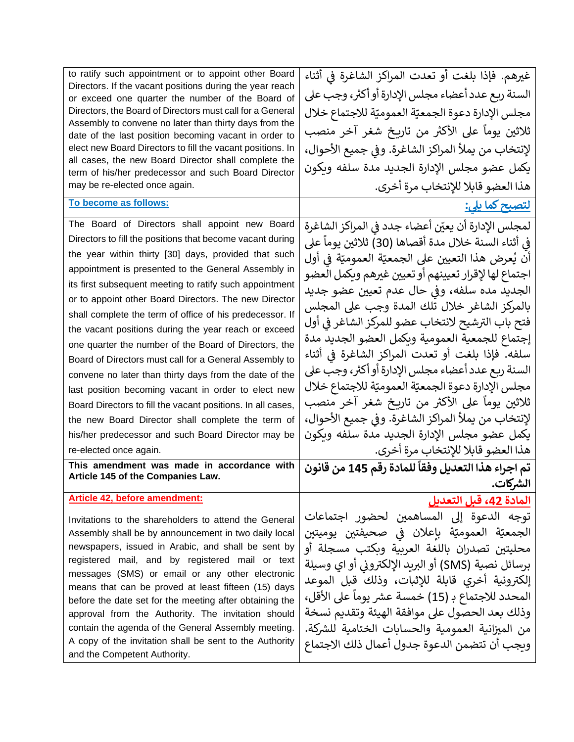| to ratify such appointment or to appoint other Board                                                                | غيرهم. فإذا بلغت أو تعدت المراكز الشاغرة في أثناء    |
|---------------------------------------------------------------------------------------------------------------------|------------------------------------------------------|
| Directors. If the vacant positions during the year reach<br>or exceed one quarter the number of the Board of        | السنة ربع عدد أعضاء مجلس الإدارة أو أكثر، وجب على    |
| Directors, the Board of Directors must call for a General                                                           | مجلس الإدارة دعوة الجمعيّة العموميّة للاجتماع خلال   |
| Assembly to convene no later than thirty days from the                                                              | ثلاثين يوماً على الأكثر من تاريخ شغر آخر منصب        |
| date of the last position becoming vacant in order to<br>elect new Board Directors to fill the vacant positions. In |                                                      |
| all cases, the new Board Director shall complete the                                                                | لإنتخاب من يملأ المراكز الشاغرة. وفي جميع الأحوال،   |
| term of his/her predecessor and such Board Director                                                                 | يكمل عضو مجلس الإدارة الجديد مدة سلفه ويكون          |
| may be re-elected once again.                                                                                       | هذا العضو قابلا للإنتخاب مرة أخرى.                   |
| To become as follows:                                                                                               | <u>لتصبح کما یلی:</u>                                |
| The Board of Directors shall appoint new Board                                                                      | لمجلس الإدارة أن يعيّن أعضاء جدد في المراكز الشاغرة  |
| Directors to fill the positions that become vacant during                                                           | في أثناء السنة خلال مدة أقصاها (30) ثلاثين يوماً على |
| the year within thirty [30] days, provided that such                                                                | أن يُعرض هذا التعيين على الجمعيّة العموميّة في أول   |
| appointment is presented to the General Assembly in                                                                 | اجتماع لها لإقرار تعيينهم أو تعيين غيرهم وبكمل العضو |
| its first subsequent meeting to ratify such appointment                                                             | الجديد مده سلفه، وفي حال عدم تعيين عضو جديد          |
| or to appoint other Board Directors. The new Director                                                               | بالمركز الشاغر خلال تلك المدة وجب على المجلس         |
| shall complete the term of office of his predecessor. If                                                            | فتح باب الترشيح لانتخاب عضو للمركز الشاغر في أول     |
| the vacant positions during the year reach or exceed<br>one quarter the number of the Board of Directors, the       | إجتماع للجمعية العمومية وبكمل العضو الجديد مدة       |
| Board of Directors must call for a General Assembly to                                                              | سلفه. فإذا بلغت أو تعدت المراكز الشاغرة في أثناء     |
| convene no later than thirty days from the date of the                                                              | السنة ربع عدد أعضاء مجلس الإدارة أو أكثر، وجب على    |
| last position becoming vacant in order to elect new                                                                 | مجلس الإدارة دعوة الجمعيّة العموميّة للاجتماع خلال   |
| Board Directors to fill the vacant positions. In all cases,                                                         | ثلاثين يوماً على الأكثر من تاريخ شغر آخر منصب        |
| the new Board Director shall complete the term of                                                                   | لإنتخاب من يملأ المراكز الشاغرة. وفي جميع الأحوال،   |
| his/her predecessor and such Board Director may be                                                                  | يكمل عضو مجلس الإدارة الجديد مدة سلفه ويكون          |
| re-elected once again.                                                                                              | هذا العضو قابلا للإنتخاب مرة أخرى.                   |
| This amendment was made in accordance with                                                                          | تم اجراء هذا التعديل وفقاً للمادة رقم 145 من قانون   |
| Article 145 of the Companies Law.                                                                                   | الشركات.                                             |
| Article 42, before amendment:                                                                                       | المادة 42، قبل التعديل                               |
| Invitations to the shareholders to attend the General                                                               | توجه الدعوة إلى المساهمين لحضور اجتماعات             |
| Assembly shall be by announcement in two daily local                                                                | الجمعيّة العموميّة بإعلان في صحيفتين يوميتين         |
| newspapers, issued in Arabic, and shall be sent by                                                                  | محليتين تصدران باللغة العربية وبكتب مسجلة أو         |
| registered mail, and by registered mail or text<br>messages (SMS) or email or any other electronic                  | برسائل نصية (SMS) أو البريد الإلكتروني أو اي وسيلة   |
| means that can be proved at least fifteen (15) days                                                                 | إلكترونية أخري قابلة للإثبات، وذلك قبل الموعد        |
| before the date set for the meeting after obtaining the                                                             | المحدد للاجتماع بـ (15) خمسة عشر يوماً على الأقل،    |
| approval from the Authority. The invitation should                                                                  | وذلك بعد الحصول على موافقة الهيئة وتقديم نسخة        |
| contain the agenda of the General Assembly meeting.                                                                 | من الميزانية العمومية والحسابات الختامية للشركة.     |
| A copy of the invitation shall be sent to the Authority                                                             | وبجب أن تتضمن الدعوة جدول أعمال ذلك الاجتماع         |
| and the Competent Authority.                                                                                        |                                                      |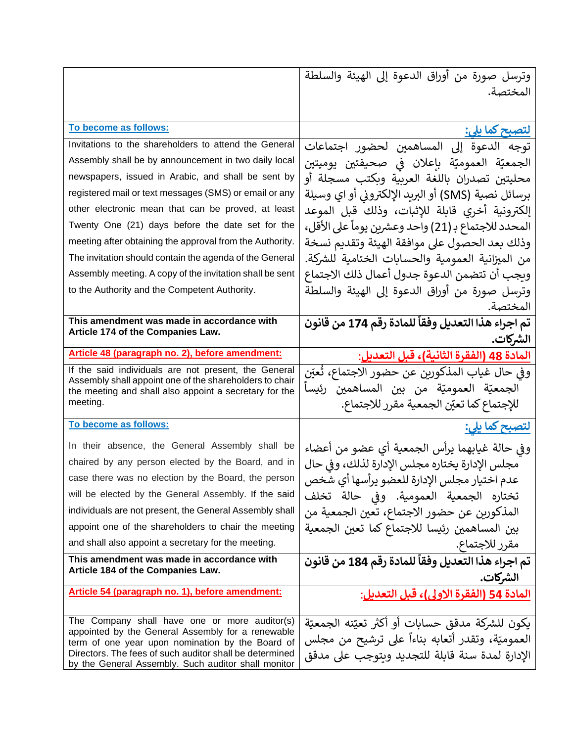|                                                                                                                                                                    | وترسل صورة من أوراق الدعوة إلى الهيئة والسلطة                                                      |
|--------------------------------------------------------------------------------------------------------------------------------------------------------------------|----------------------------------------------------------------------------------------------------|
|                                                                                                                                                                    | المختصة.                                                                                           |
|                                                                                                                                                                    |                                                                                                    |
| To become as follows:                                                                                                                                              | لتصبح کما ی <u>لی:</u>                                                                             |
| Invitations to the shareholders to attend the General                                                                                                              | توجه الدعوة إلى المساهمين لحضور اجتماعات                                                           |
| Assembly shall be by announcement in two daily local                                                                                                               | الجمعيّة العموميّة بإعلان في صحيفتين يوميتين                                                       |
| newspapers, issued in Arabic, and shall be sent by                                                                                                                 | محليتين تصدران باللغة العربية وبكتب مسجلة أو                                                       |
| registered mail or text messages (SMS) or email or any                                                                                                             | برسائل نصية (SMS) أو البريد الإلكتروني أو اي وسيلة                                                 |
| other electronic mean that can be proved, at least                                                                                                                 | إلكترونية أخري قابلة للإثبات، وذلك قبل الموعد                                                      |
| Twenty One (21) days before the date set for the                                                                                                                   | المحدد للاجتماع بـ (21) واحد وعشرين يوماً على الأقل،                                               |
| meeting after obtaining the approval from the Authority.                                                                                                           | وذلك بعد الحصول على موافقة الهيئة وتقديم نسخة                                                      |
| The invitation should contain the agenda of the General                                                                                                            | من الميزانية العمومية والحسابات الختامية للشركة.                                                   |
| Assembly meeting. A copy of the invitation shall be sent                                                                                                           | ويجب أن تتضمن الدعوة جدول أعمال ذلك الاجتماع                                                       |
| to the Authority and the Competent Authority.                                                                                                                      | وترسل صورة من أوراق الدعوة إلى الهيئة والسلطة                                                      |
|                                                                                                                                                                    | المختصة.                                                                                           |
| This amendment was made in accordance with<br>Article 174 of the Companies Law.                                                                                    | تم اجراء هذا التعديل وفقاً للمادة رقم 174 من قانون                                                 |
|                                                                                                                                                                    | الشركات.                                                                                           |
| Article 48 (paragraph no. 2), before amendment:                                                                                                                    | المادة 48 (الفقرة الثانية)، قبل التعديل:                                                           |
| If the said individuals are not present, the General<br>Assembly shall appoint one of the shareholders to chair                                                    | وفي حال غياب المذكورين عن حضور الاجتماع، تُعيّن                                                    |
| the meeting and shall also appoint a secretary for the                                                                                                             | الجمعيّة العموميّة من بين المساهمين رئيساً                                                         |
| meeting.                                                                                                                                                           | للإجتماع كما تعيّن الجمعية مقرر للاجتماع.                                                          |
| To become as follows:                                                                                                                                              | <u>لتصبح کما یلی:</u>                                                                              |
| In their absence, the General Assembly shall be                                                                                                                    | وفي حالة غيابهما يرأس الجمعية أي عضو من أعضاء                                                      |
| chaired by any person elected by the Board, and in                                                                                                                 | مجلس الإدارة يختاره مجلس الإدارة لذلك، وفي حال                                                     |
| case there was no election by the Board, the person                                                                                                                | عدم اختيار مجلس الإدارة للعضو يرأسها أي شخص                                                        |
| will be elected by the General Assembly. If the said                                                                                                               |                                                                                                    |
|                                                                                                                                                                    | تختاره الجمعية العمومية. وفي حالة تخلف                                                             |
| individuals are not present, the General Assembly shall                                                                                                            | المذكورين عن حضور الاجتماع، تعين الجمعية من                                                        |
| appoint one of the shareholders to chair the meeting                                                                                                               | بين المساهمين رئيسا للاجتماع كما تعين الجمعية                                                      |
| and shall also appoint a secretary for the meeting.                                                                                                                | مقرر للاجتماع.                                                                                     |
| This amendment was made in accordance with                                                                                                                         | تم اجراء هذا التعديل وفقاً للمادة رقم 184 من قانون                                                 |
| Article 184 of the Companies Law.                                                                                                                                  | الشركات.                                                                                           |
| Article 54 (paragraph no. 1), before amendment:                                                                                                                    | المادة 54 (الفقرة الاولى)، قبل التعديل:                                                            |
| The Company shall have one or more auditor(s)                                                                                                                      |                                                                                                    |
| appointed by the General Assembly for a renewable                                                                                                                  | يكون للشركة مدقق حسابات أو أكثر تعيّنه الجمعيّة                                                    |
| term of one year upon nomination by the Board of<br>Directors. The fees of such auditor shall be determined<br>by the General Assembly. Such auditor shall monitor | العموميّة، وتقدر أتعابه بناءاً على ترشيح من مجلس<br>الإدارة لمدة سنة قابلة للتجديد ويتوجب على مدقق |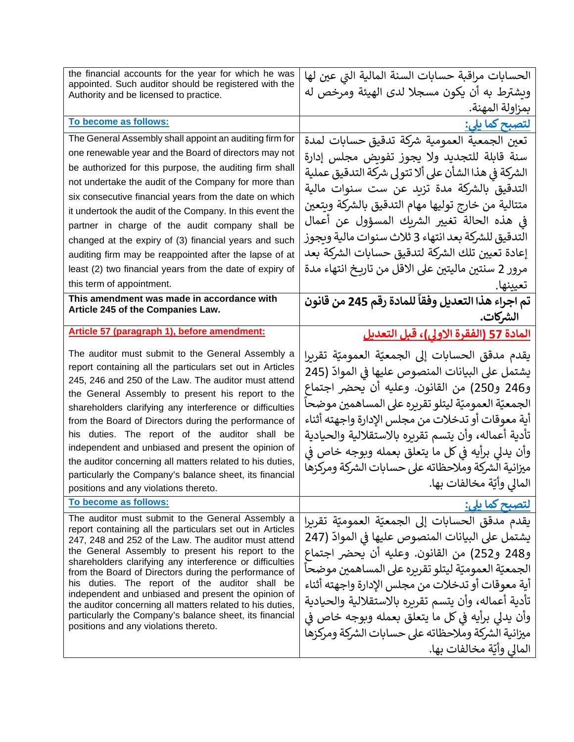| the financial accounts for the year for which he was<br>appointed. Such auditor should be registered with the<br>Authority and be licensed to practice.                                                                                                                                                                                                                                                                                                                                                                                                                                                                    | الحسابات مراقبة حسابات السنة المالية التي عين لها<br>ويشترط به أن يكون مسجلا لدى الهيئة ومرخص له<br>بمزاولة المهنة.                                                                                                                                                                                                                                                                                                                                               |
|----------------------------------------------------------------------------------------------------------------------------------------------------------------------------------------------------------------------------------------------------------------------------------------------------------------------------------------------------------------------------------------------------------------------------------------------------------------------------------------------------------------------------------------------------------------------------------------------------------------------------|-------------------------------------------------------------------------------------------------------------------------------------------------------------------------------------------------------------------------------------------------------------------------------------------------------------------------------------------------------------------------------------------------------------------------------------------------------------------|
| To become as follows:                                                                                                                                                                                                                                                                                                                                                                                                                                                                                                                                                                                                      | <u>لتصبح كما يلي:</u>                                                                                                                                                                                                                                                                                                                                                                                                                                             |
| The General Assembly shall appoint an auditing firm for                                                                                                                                                                                                                                                                                                                                                                                                                                                                                                                                                                    | تعين الجمعية العمومية شركة تدقيق حسابات لمدة                                                                                                                                                                                                                                                                                                                                                                                                                      |
| one renewable year and the Board of directors may not                                                                                                                                                                                                                                                                                                                                                                                                                                                                                                                                                                      | سنة قابلة للتجديد ولا يجوز تفويض مجلس إدارة                                                                                                                                                                                                                                                                                                                                                                                                                       |
| be authorized for this purpose, the auditing firm shall                                                                                                                                                                                                                                                                                                                                                                                                                                                                                                                                                                    | الشركة في هذا الشأن على ألا تتولى شركة التدقيق عملية                                                                                                                                                                                                                                                                                                                                                                                                              |
| not undertake the audit of the Company for more than                                                                                                                                                                                                                                                                                                                                                                                                                                                                                                                                                                       | التدقيق بالشركة مدة تزيد عن ست سنوات مالية                                                                                                                                                                                                                                                                                                                                                                                                                        |
| six consecutive financial years from the date on which                                                                                                                                                                                                                                                                                                                                                                                                                                                                                                                                                                     | متتالية من خارج توليها مهام التدقيق بالشركة ويتعين                                                                                                                                                                                                                                                                                                                                                                                                                |
| it undertook the audit of the Company. In this event the                                                                                                                                                                                                                                                                                                                                                                                                                                                                                                                                                                   | في هذه الحالة تغيير الشريك المسؤول عن أعمال                                                                                                                                                                                                                                                                                                                                                                                                                       |
| partner in charge of the audit company shall be                                                                                                                                                                                                                                                                                                                                                                                                                                                                                                                                                                            | التدقيق للشركة بعد انتهاء 3 ثلاث سنوات مالية ويجوز                                                                                                                                                                                                                                                                                                                                                                                                                |
| changed at the expiry of (3) financial years and such                                                                                                                                                                                                                                                                                                                                                                                                                                                                                                                                                                      | إعادة تعيين تلك الشركة لتدقيق حسابات الشركة بعد                                                                                                                                                                                                                                                                                                                                                                                                                   |
| auditing firm may be reappointed after the lapse of at                                                                                                                                                                                                                                                                                                                                                                                                                                                                                                                                                                     | مرور 2 سنتين ماليتين على الاقل من تاريخ انتهاء مدة                                                                                                                                                                                                                                                                                                                                                                                                                |
| least (2) two financial years from the date of expiry of<br>this term of appointment.                                                                                                                                                                                                                                                                                                                                                                                                                                                                                                                                      |                                                                                                                                                                                                                                                                                                                                                                                                                                                                   |
| This amendment was made in accordance with                                                                                                                                                                                                                                                                                                                                                                                                                                                                                                                                                                                 | تعيينها.                                                                                                                                                                                                                                                                                                                                                                                                                                                          |
| Article 245 of the Companies Law.                                                                                                                                                                                                                                                                                                                                                                                                                                                                                                                                                                                          | تم اجراء هذا التعديل وفقاً للمادة رقم 245 من قانون<br>الشركات.                                                                                                                                                                                                                                                                                                                                                                                                    |
| Article 57 (paragraph 1), before amendment:                                                                                                                                                                                                                                                                                                                                                                                                                                                                                                                                                                                | <u>المادة 57 (الفقرة الاولي)، قبل التعديل</u>                                                                                                                                                                                                                                                                                                                                                                                                                     |
| The auditor must submit to the General Assembly a<br>report containing all the particulars set out in Articles<br>245, 246 and 250 of the Law. The auditor must attend<br>the General Assembly to present his report to the<br>shareholders clarifying any interference or difficulties<br>from the Board of Directors during the performance of<br>his duties. The report of the auditor shall be<br>independent and unbiased and present the opinion of<br>the auditor concerning all matters related to his duties,<br>particularly the Company's balance sheet, its financial<br>positions and any violations thereto. | يقدم مدقق الحسابات إلى الجمعيّة العموميّة تقريرا<br>يشتمل على البيانات المنصوص عليها في الموادّ (245<br>و246 و250) من القانون. وعليه أن يحضر اجتماع<br>الجمعيّة العموميّة ليتلو تقريره على المساهمين موضحاً<br>آية معوقات أو تدخلات من مجلس الإدارة واجهته أثناء<br>تأدية أعماله، وأن يتسم تقريره بالاستقلالية والحيادية<br>وأن يدلي برأيه في كل ما يتعلق بعمله وبوجه خاص في<br>ميزانية الشركة وملاحظاته على حسابات الشركة ومركزها<br>المالي وأيّة مخالفات بها.   |
| To become as follows:                                                                                                                                                                                                                                                                                                                                                                                                                                                                                                                                                                                                      | <u>لتصبح کما یلی:</u>                                                                                                                                                                                                                                                                                                                                                                                                                                             |
| The auditor must submit to the General Assembly a<br>report containing all the particulars set out in Articles<br>247, 248 and 252 of the Law. The auditor must attend<br>the General Assembly to present his report to the<br>shareholders clarifying any interference or difficulties<br>from the Board of Directors during the performance of<br>his duties. The report of the auditor shall be<br>independent and unbiased and present the opinion of<br>the auditor concerning all matters related to his duties,<br>particularly the Company's balance sheet, its financial<br>positions and any violations thereto. | يقدم مدقق الحسابات إلى الجمعيّة العموميّة تقريرا<br>يشتمل على البيانات المنصوص عليها في الموادّ (247<br>و248 و252) من القانون. وعليه أن يحضر اجتماع<br>ِ الجمعيّة العموميّة ليتلو تقريره على المساهمين موضحاً<br>أية معوقات أو تدخلات من مجلس الإدارة واجهته أثناء<br>تأدية أعماله، وأن يتسم تقريره بالاستقلالية والحيادية<br>وأن يدلى برأيه في كل ما يتعلق بعمله وبوجه خاص في<br>ميزانية الشركة وملاحظاته على حسابات الشركة ومركزها<br>المالي وأيّة مخالفات بها. |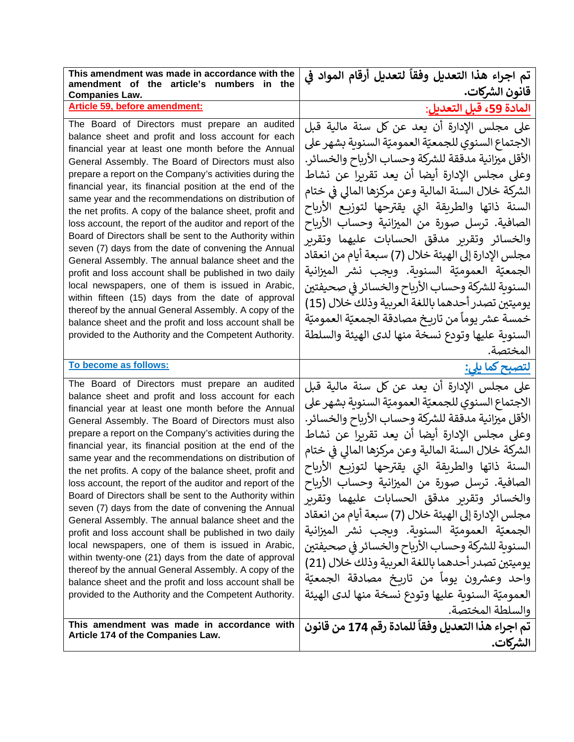| This amendment was made in accordance with the<br>amendment of the article's numbers in the                                                                                                                                                                                                                                                                                                                                                                                                                                                                                                                                                                                                                                                                                                                                                                                                                                                                                                                                                                                                              | تم اجراء هذا التعديل وفقاً لتعديل أرقام المواد في<br>قانون الشركات.                                                                                                                                                                                                                                                                                                                                                                                                                                                                                                                                                                                                                                                                                           |
|----------------------------------------------------------------------------------------------------------------------------------------------------------------------------------------------------------------------------------------------------------------------------------------------------------------------------------------------------------------------------------------------------------------------------------------------------------------------------------------------------------------------------------------------------------------------------------------------------------------------------------------------------------------------------------------------------------------------------------------------------------------------------------------------------------------------------------------------------------------------------------------------------------------------------------------------------------------------------------------------------------------------------------------------------------------------------------------------------------|---------------------------------------------------------------------------------------------------------------------------------------------------------------------------------------------------------------------------------------------------------------------------------------------------------------------------------------------------------------------------------------------------------------------------------------------------------------------------------------------------------------------------------------------------------------------------------------------------------------------------------------------------------------------------------------------------------------------------------------------------------------|
| <b>Companies Law.</b><br><b>Article 59, before amendment:</b>                                                                                                                                                                                                                                                                                                                                                                                                                                                                                                                                                                                                                                                                                                                                                                                                                                                                                                                                                                                                                                            | <u>المادة 59، قبل التعديل:</u>                                                                                                                                                                                                                                                                                                                                                                                                                                                                                                                                                                                                                                                                                                                                |
| The Board of Directors must prepare an audited<br>balance sheet and profit and loss account for each<br>financial year at least one month before the Annual<br>General Assembly. The Board of Directors must also<br>prepare a report on the Company's activities during the<br>financial year, its financial position at the end of the<br>same year and the recommendations on distribution of<br>the net profits. A copy of the balance sheet, profit and<br>loss account, the report of the auditor and report of the<br>Board of Directors shall be sent to the Authority within<br>seven (7) days from the date of convening the Annual<br>General Assembly. The annual balance sheet and the<br>profit and loss account shall be published in two daily<br>local newspapers, one of them is issued in Arabic,<br>within fifteen (15) days from the date of approval<br>thereof by the annual General Assembly. A copy of the<br>balance sheet and the profit and loss account shall be<br>provided to the Authority and the Competent Authority.                                                  | على مجلس الإدارة أن يعد عن كل سنة مالية قبل<br>الاجتماع السنوي للجمعيّة العموميّة السنوية بشهر على<br>الأقل ميزانية مدققة للشركة وحساب الأرباح والخسائر.<br>وعلى مجلس الإدارة أيضا أن يعد تقريرا عن نشاط<br>الشركة خلال السنة المالية وعن مركزها المالى في ختام<br>السنة ذاتها والطريقة التي يقترحها لتوزيع الأرباح<br>الصافية. ترسل صورة من الميزانية وحساب الأرباح<br>والخسائر وتقرير مدقق الحسابات عليهما وتقرير<br>مجلس الإدارة إلى الهيئة خلال (7) سبعة أيام من انعقاد<br>الجمعيّة العموميّة السنوية. ويجب نشر الميزانية<br>السنوية للشركة وحساب الأرباح والخسائر في صحيفتين<br>يوميتين تصدر أحدهما باللغة العربية وذلك خلال (15)<br>خمسة عشر يوماً من تاريخ مصادقة الجمعيّة العموميّة<br>السنوية عليها وتودع نسخة منها لدى الهيئة والسلطة<br>المختصة.   |
| To become as follows:                                                                                                                                                                                                                                                                                                                                                                                                                                                                                                                                                                                                                                                                                                                                                                                                                                                                                                                                                                                                                                                                                    | <u>لتصبح كما يلي:</u>                                                                                                                                                                                                                                                                                                                                                                                                                                                                                                                                                                                                                                                                                                                                         |
|                                                                                                                                                                                                                                                                                                                                                                                                                                                                                                                                                                                                                                                                                                                                                                                                                                                                                                                                                                                                                                                                                                          |                                                                                                                                                                                                                                                                                                                                                                                                                                                                                                                                                                                                                                                                                                                                                               |
| The Board of Directors must prepare an audited<br>balance sheet and profit and loss account for each<br>financial year at least one month before the Annual<br>General Assembly. The Board of Directors must also<br>prepare a report on the Company's activities during the<br>financial year, its financial position at the end of the<br>same year and the recommendations on distribution of<br>the net profits. A copy of the balance sheet, profit and<br>loss account, the report of the auditor and report of the<br>Board of Directors shall be sent to the Authority within<br>seven (7) days from the date of convening the Annual<br>General Assembly. The annual balance sheet and the<br>profit and loss account shall be published in two daily<br>local newspapers, one of them is issued in Arabic,<br>within twenty-one (21) days from the date of approval<br>thereof by the annual General Assembly. A copy of the<br>balance sheet and the profit and loss account shall be<br>provided to the Authority and the Competent Authority.<br>This amendment was made in accordance with | على مجلس الإدارة أن يعد عن كل سنة مالية قبل<br>الاجتماع السنوي للجمعيّة العموميّة السنوية بشهر على<br>الأقل ميزانية مدققة للشركة وحساب الأرباح والخسائر.<br>وعلى مجلس الإدارة أيضا أن يعد تقريرا عن نشاط<br>الشركة خلال السنة المالية وعن مركزها المالي في ختام<br>السنة ذاتها والطريقة التي يقترحها لتوزيع الأرباح<br>الصافية. ترسل صورة من الميزانية وحساب الأرباح<br>والخسائر وتقرير مدقق الحسابات عليهما وتقربر<br>مجلس الإدارة إلى الهيئة خلال (7) سبعة أيام من انعقاد<br>الجمعيّة العموميّة السنوية. ويجب نشر الميزانية<br>السنوية للشركة وحساب الأرباح والخسائر في صحيفتين<br>يوميتين تصدر أحدهما باللغة العربية وذلك خلال (21)<br>واحد وعشرون يومآ من تاريخ مصادقة الجمعيّة<br>العموميّة السنوية عليها وتودع نسخة منها لدى الهيئة<br>والسلطة المختصة. |